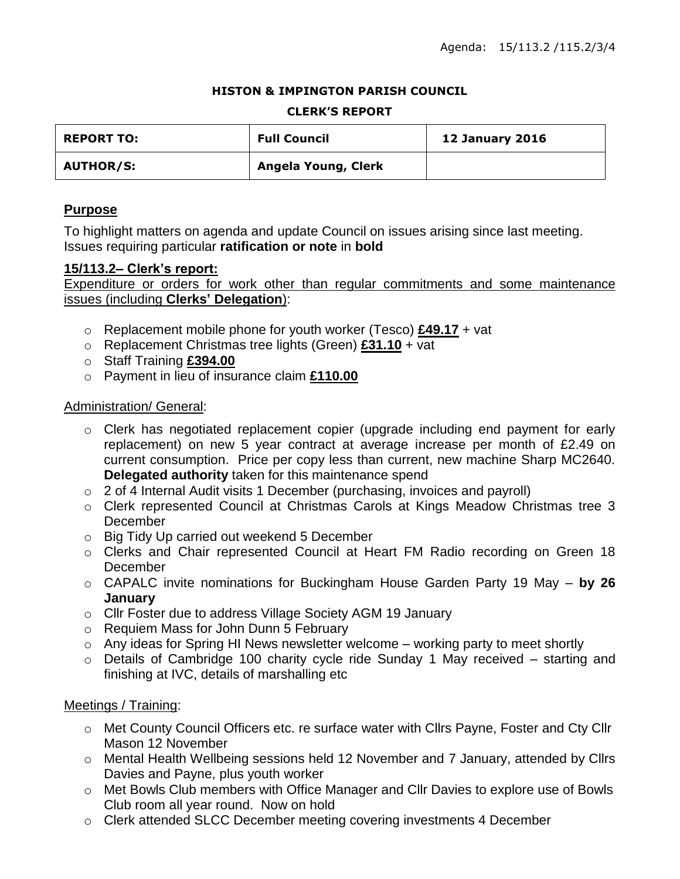### **HISTON & IMPINGTON PARISH COUNCIL**

### **CLERK'S REPORT**

| <b>REPORT TO:</b> | <b>Full Council</b> | <b>12 January 2016</b> |
|-------------------|---------------------|------------------------|
| <b>AUTHOR/S:</b>  | Angela Young, Clerk |                        |

## **Purpose**

To highlight matters on agenda and update Council on issues arising since last meeting. Issues requiring particular **ratification or note** in **bold**

## **15/113.2– Clerk's report:**

Expenditure or orders for work other than regular commitments and some maintenance issues (including **Clerks' Delegation**):

- o Replacement mobile phone for youth worker (Tesco) **£49.17** + vat
- o Replacement Christmas tree lights (Green) **£31.10** + vat
- o Staff Training **£394.00**
- o Payment in lieu of insurance claim **£110.00**

## Administration/ General:

- o Clerk has negotiated replacement copier (upgrade including end payment for early replacement) on new 5 year contract at average increase per month of £2.49 on current consumption. Price per copy less than current, new machine Sharp MC2640. **Delegated authority** taken for this maintenance spend
- o 2 of 4 Internal Audit visits 1 December (purchasing, invoices and payroll)
- o Clerk represented Council at Christmas Carols at Kings Meadow Christmas tree 3 **December**
- o Big Tidy Up carried out weekend 5 December
- o Clerks and Chair represented Council at Heart FM Radio recording on Green 18 **December**
- o CAPALC invite nominations for Buckingham House Garden Party 19 May **by 26 January**
- o Cllr Foster due to address Village Society AGM 19 January
- o Requiem Mass for John Dunn 5 February
- $\circ$  Any ideas for Spring HI News newsletter welcome working party to meet shortly
- o Details of Cambridge 100 charity cycle ride Sunday 1 May received starting and finishing at IVC, details of marshalling etc

## Meetings / Training:

- o Met County Council Officers etc. re surface water with Cllrs Payne, Foster and Cty Cllr Mason 12 November
- o Mental Health Wellbeing sessions held 12 November and 7 January, attended by Cllrs Davies and Payne, plus youth worker
- o Met Bowls Club members with Office Manager and Cllr Davies to explore use of Bowls Club room all year round. Now on hold
- o Clerk attended SLCC December meeting covering investments 4 December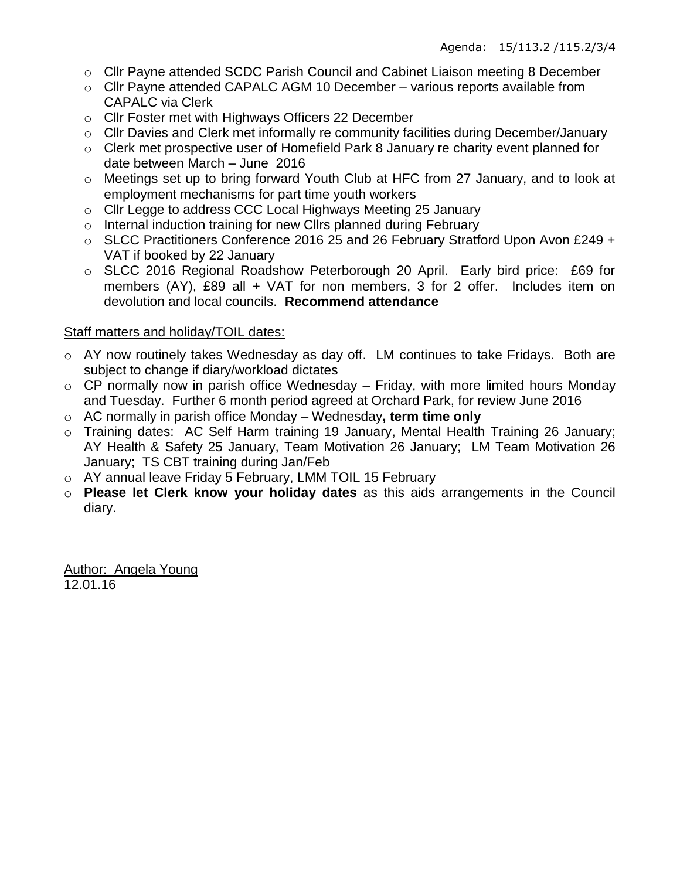- o Cllr Payne attended SCDC Parish Council and Cabinet Liaison meeting 8 December
- o Cllr Payne attended CAPALC AGM 10 December various reports available from CAPALC via Clerk
- o Cllr Foster met with Highways Officers 22 December
- o Cllr Davies and Clerk met informally re community facilities during December/January
- o Clerk met prospective user of Homefield Park 8 January re charity event planned for date between March – June 2016
- $\circ$  Meetings set up to bring forward Youth Club at HFC from 27 January, and to look at employment mechanisms for part time youth workers
- o Cllr Legge to address CCC Local Highways Meeting 25 January
- o Internal induction training for new Cllrs planned during February
- o SLCC Practitioners Conference 2016 25 and 26 February Stratford Upon Avon £249 + VAT if booked by 22 January
- o SLCC 2016 Regional Roadshow Peterborough 20 April. Early bird price: £69 for members (AY), £89 all + VAT for non members, 3 for 2 offer. Includes item on devolution and local councils. **Recommend attendance**

## Staff matters and holiday/TOIL dates:

- o AY now routinely takes Wednesday as day off. LM continues to take Fridays. Both are subject to change if diary/workload dictates
- $\circ$  CP normally now in parish office Wednesday Friday, with more limited hours Monday and Tuesday. Further 6 month period agreed at Orchard Park, for review June 2016
- o AC normally in parish office Monday Wednesday**, term time only**
- o Training dates: AC Self Harm training 19 January, Mental Health Training 26 January; AY Health & Safety 25 January, Team Motivation 26 January; LM Team Motivation 26 January; TS CBT training during Jan/Feb
- o AY annual leave Friday 5 February, LMM TOIL 15 February
- o **Please let Clerk know your holiday dates** as this aids arrangements in the Council diary.

Author: Angela Young 12.01.16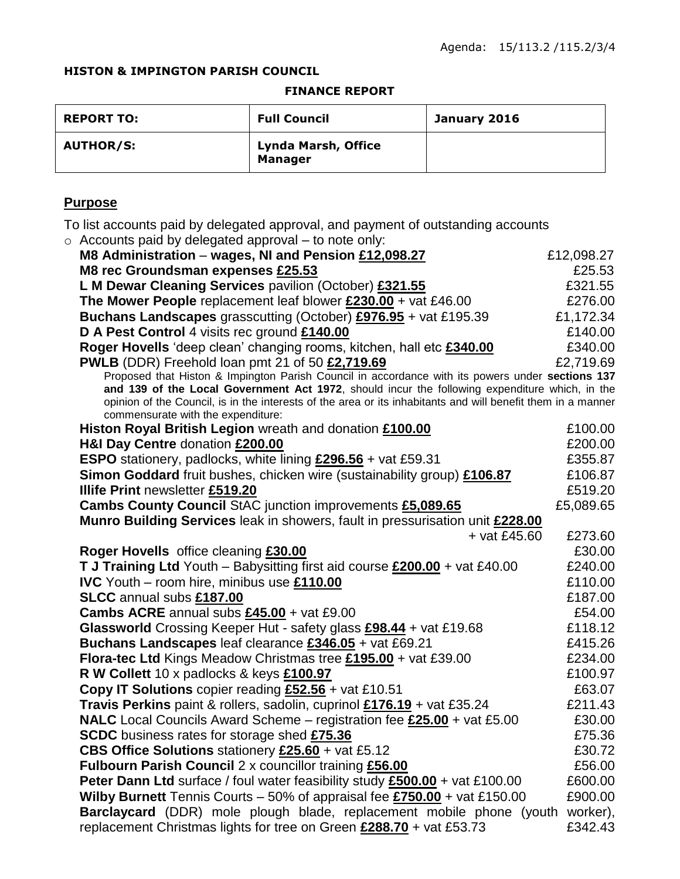### **HISTON & IMPINGTON PARISH COUNCIL**

#### **FINANCE REPORT**

| <b>REPORT TO:</b> | <b>Full Council</b>                   | January 2016 |
|-------------------|---------------------------------------|--------------|
| <b>AUTHOR/S:</b>  | Lynda Marsh, Office<br><b>Manager</b> |              |

# **Purpose**

To list accounts paid by delegated approval, and payment of outstanding accounts

| To list accounts paid by delegated approval, and payment of outstanding accounts                             |            |
|--------------------------------------------------------------------------------------------------------------|------------|
| $\circ$ Accounts paid by delegated approval – to note only:                                                  |            |
| M8 Administration - wages, NI and Pension £12,098.27                                                         | £12,098.27 |
| M8 rec Groundsman expenses £25.53                                                                            | £25.53     |
| L M Dewar Cleaning Services pavilion (October) £321.55                                                       | £321.55    |
| The Mower People replacement leaf blower $£230.00 + \text{vat } £46.00$                                      | £276.00    |
| <b>Buchans Landscapes</b> grasscutting (October) <b>£976.95</b> + vat £195.39                                | £1,172.34  |
| D A Pest Control 4 visits rec ground £140.00                                                                 | £140.00    |
| Roger Hovells 'deep clean' changing rooms, kitchen, hall etc £340.00                                         | £340.00    |
| <b>PWLB</b> (DDR) Freehold loan pmt 21 of 50 £2,719.69                                                       | £2,719.69  |
| Proposed that Histon & Impington Parish Council in accordance with its powers under sections 137             |            |
| and 139 of the Local Government Act 1972, should incur the following expenditure which, in the               |            |
| opinion of the Council, is in the interests of the area or its inhabitants and will benefit them in a manner |            |
| commensurate with the expenditure:<br>Histon Royal British Legion wreath and donation £100.00                | £100.00    |
| H&I Day Centre donation £200.00                                                                              | £200.00    |
| <b>ESPO</b> stationery, padlocks, white lining $£296.56 + \text{vat } £59.31$                                | £355.87    |
| Simon Goddard fruit bushes, chicken wire (sustainability group) £106.87                                      | £106.87    |
| Illife Print newsletter £519.20                                                                              | £519.20    |
| Cambs County Council StAC junction improvements £5,089.65                                                    | £5,089.65  |
| Munro Building Services leak in showers, fault in pressurisation unit £228.00                                |            |
| $+$ vat £45.60                                                                                               | £273.60    |
| Roger Hovells office cleaning £30.00                                                                         | £30.00     |
| T J Training Ltd Youth - Babysitting first aid course £200.00 + vat £40.00                                   | £240.00    |
| <b>IVC</b> Youth – room hire, minibus use £110.00                                                            | £110.00    |
| SLCC annual subs £187.00                                                                                     | £187.00    |
| <b>Cambs ACRE</b> annual subs $£45.00 + \text{vat } £9.00$                                                   | £54.00     |
| Glassworld Crossing Keeper Hut - safety glass £98.44 + vat £19.68                                            | £118.12    |
| Buchans Landscapes leaf clearance £346.05 + vat £69.21                                                       | £415.26    |
| Flora-tec Ltd Kings Meadow Christmas tree £195.00 + vat £39.00                                               | £234.00    |
| R W Collett 10 x padlocks & keys £100.97                                                                     | £100.97    |
| Copy IT Solutions copier reading $£52.56 +$ vat £10.51                                                       | £63.07     |
| Travis Perkins paint & rollers, sadolin, cuprinol £176.19 + vat £35.24                                       | £211.43    |
| NALC Local Councils Award Scheme - registration fee £25.00 + vat £5.00                                       | £30.00     |
|                                                                                                              | £75.36     |
| <b>SCDC</b> business rates for storage shed £75.36                                                           |            |
| CBS Office Solutions stationery £25.60 + vat £5.12                                                           | £30.72     |
| <b>Fulbourn Parish Council 2 x councillor training £56.00</b>                                                | £56.00     |
| Peter Dann Ltd surface / foul water feasibility study £500.00 + vat £100.00                                  | £600.00    |
| <b>Wilby Burnett</b> Tennis Courts – 50% of appraisal fee $£750.00 + \text{vat } £150.00$                    | £900.00    |

**Barclaycard** (DDR) mole plough blade, replacement mobile phone (youth worker), replacement Christmas lights for tree on Green **£288.70** + vat £53.73 £342.43